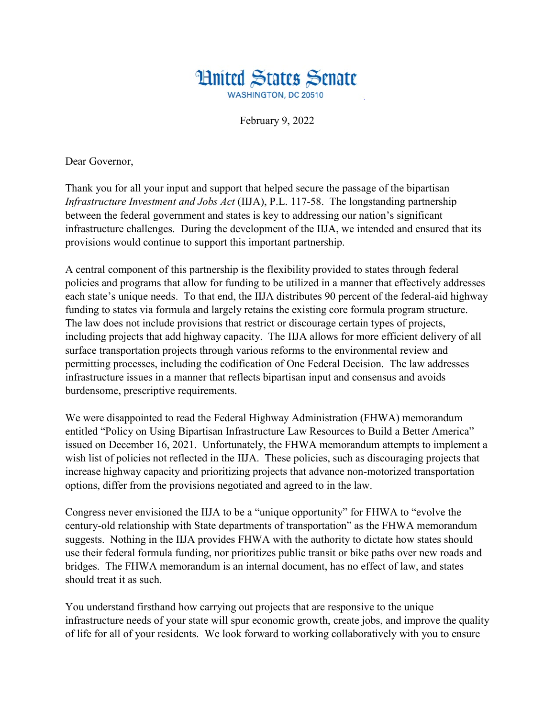

February 9, 2022

Dear Governor,

Thank you for all your input and support that helped secure the passage of the bipartisan *Infrastructure Investment and Jobs Act* (IIJA), P.L. 117-58. The longstanding partnership between the federal government and states is key to addressing our nation's significant infrastructure challenges. During the development of the IIJA, we intended and ensured that its provisions would continue to support this important partnership.

A central component of this partnership is the flexibility provided to states through federal policies and programs that allow for funding to be utilized in a manner that effectively addresses each state's unique needs. To that end, the IIJA distributes 90 percent of the federal-aid highway funding to states via formula and largely retains the existing core formula program structure. The law does not include provisions that restrict or discourage certain types of projects, including projects that add highway capacity. The IIJA allows for more efficient delivery of all surface transportation projects through various reforms to the environmental review and permitting processes, including the codification of One Federal Decision. The law addresses infrastructure issues in a manner that reflects bipartisan input and consensus and avoids burdensome, prescriptive requirements.

We were disappointed to read the Federal Highway Administration (FHWA) memorandum entitled "Policy on Using Bipartisan Infrastructure Law Resources to Build a Better America" issued on December 16, 2021. Unfortunately, the FHWA memorandum attempts to implement a wish list of policies not reflected in the IIJA. These policies, such as discouraging projects that increase highway capacity and prioritizing projects that advance non-motorized transportation options, differ from the provisions negotiated and agreed to in the law.

Congress never envisioned the IIJA to be a "unique opportunity" for FHWA to "evolve the century-old relationship with State departments of transportation" as the FHWA memorandum suggests. Nothing in the IIJA provides FHWA with the authority to dictate how states should use their federal formula funding, nor prioritizes public transit or bike paths over new roads and bridges. The FHWA memorandum is an internal document, has no effect of law, and states should treat it as such.

You understand firsthand how carrying out projects that are responsive to the unique infrastructure needs of your state will spur economic growth, create jobs, and improve the quality of life for all of your residents. We look forward to working collaboratively with you to ensure